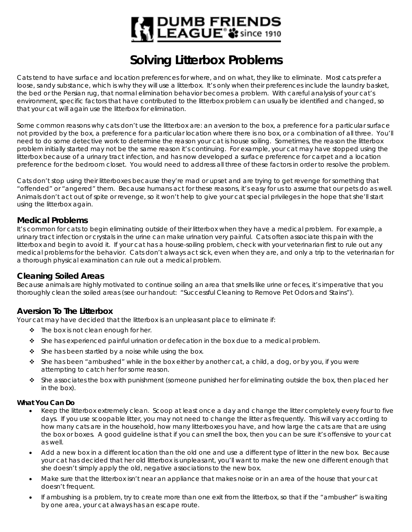# | DUMB FRIENDS<br>! LEAGUE® \$ \$ since 1910

# **Solving Litterbox Problems**

Cats tend to have surface and location preferences for where, and on what, they like to eliminate. Most cats prefer a loose, sandy substance, which is why they will use a litterbox. It's only when their preferences include the laundry basket, the bed or the Persian rug, that normal elimination behavior becomes a problem. With careful analysis of your cat's environment, specific factors that have contributed to the litterbox problem can usually be identified and changed, so that your cat will again use the litterbox for elimination.

Some common reasons why cats don't use the litterbox are: an aversion to the box, a preference for a particular surface not provided by the box, a preference for a particular location where there is no box, or a combination of all three. You'll need to do some detective work to determine the reason your cat is house soiling. Sometimes, the reason the litterbox problem initially started may not be the same reason it's continuing. For example, your cat may have stopped using the litterbox because of a urinary tract infection, and has now developed a surface preference for carpet and a location preference for the bedroom closet. You would need to address all three of these factors in order to resolve the problem.

Cats don't stop using their litterboxes because they're mad or upset and are trying to get revenge for something that "offended" or "angered" them. Because humans act for these reasons, it's easy for us to assume that our pets do as well. Animals don't act out of spite or revenge, so it won't help to give your cat special privileges in the hope that she'll start using the litterbox again.

## **Medical Problems**

It's common for cats to begin eliminating outside of their litterbox when they have a medical problem. For example, a urinary tract infection or crystals in the urine can make urination very painful. Cats often associate this pain with the litterbox and begin to avoid it. If your cat has a house-soiling problem, check with your veterinarian first to rule out any medical problems for the behavior. Cats don't always act sick, even when they are, and only a trip to the veterinarian for a thorough physical examination can rule out a medical problem.

# **Cleaning Soiled Areas**

Because animals are highly motivated to continue soiling an area that smells like urine or feces, it's imperative that you thoroughly clean the soiled areas (see our handout: "Successful Cleaning to Remove Pet Odors and Stains").

# **Aversion To The Litterbox**

Your cat may have decided that the litterbox is an unpleasant place to eliminate if:

- $\div$  The box is not clean enough for her.
- She has experienced painful urination or defecation in the box due to a medical problem.
- $\div$  She has been startled by a noise while using the box.
- $\cdot \cdot$  She has been "ambushed" while in the box either by another cat, a child, a dog, or by you, if you were attempting to catch her for some reason.
- $\cdot \cdot$  She associates the box with punishment (someone punished her for eliminating outside the box, then placed her in the box).

#### **What You Can Do**

- Keep the litterbox extremely clean. Scoop at least once a day and change the litter completely every four to five days. If you use scoopable litter, you may not need to change the litter as frequently. This will vary according to how many cats are in the household, how many litterboxes you have, and how large the cats are that are using the box or boxes. A good guideline is that if you can smell the box, then you can be sure it's offensive to your cat as well.
- Add a new box in a different location than the old one and use a different type of litter in the new box. Because your cat has decided that her old litterbox is unpleasant, you'll want to make the new one different enough that she doesn't simply apply the old, negative associations to the new box.
- Make sure that the litterbox isn't near an appliance that makes noise or in an area of the house that your cat doesn't frequent.
- If ambushing is a problem, try to create more than one exit from the litterbox, so that if the "ambusher" is waiting by one area, your cat always has an escape route.